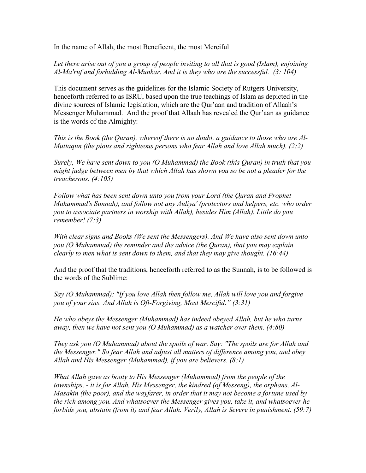In the name of Allah, the most Beneficent, the most Merciful

Let there arise out of you a group of people inviting to all that is good (Islam), enjoining Al-Ma'ruf and forbidding Al-Munkar. And it is they who are the successful. (3: 104)

This document serves as the guidelines for the Islamic Society of Rutgers University, henceforth referred to as ISRU, based upon the true teachings of Islam as depicted in the divine sources of Islamic legislation, which are the Qur'aan and tradition of Allaah's Messenger Muhammad. And the proof that Allaah has revealed the Qur'aan as guidance is the words of the Almighty:

This is the Book (the Quran), whereof there is no doubt, a guidance to those who are Al-Muttaqun (the pious and righteous persons who fear Allah and love Allah much). (2:2)

Surely, We have sent down to you (O Muhammad) the Book (this Quran) in truth that you might judge between men by that which Allah has shown you so be not a pleader for the treacherous. (4:105)

Follow what has been sent down unto you from your Lord (the Quran and Prophet Muhammad's Sunnah), and follow not any Auliya' (protectors and helpers, etc. who order you to associate partners in worship with Allah), besides Him (Allah). Little do you remember! (7:3)

With clear signs and Books (We sent the Messengers). And We have also sent down unto you (O Muhammad) the reminder and the advice (the Quran), that you may explain clearly to men what is sent down to them, and that they may give thought. (16:44)

And the proof that the traditions, henceforth referred to as the Sunnah, is to be followed is the words of the Sublime:

Say (O Muhammad): "If you love Allah then follow me, Allah will love you and forgive you of your sins. And Allah is Oft-Forgiving, Most Merciful." (3:31)

He who obeys the Messenger (Muhammad) has indeed obeyed Allah, but he who turns away, then we have not sent you (O Muhammad) as a watcher over them. (4:80)

They ask you (O Muhammad) about the spoils of war. Say: "The spoils are for Allah and the Messenger." So fear Allah and adjust all matters of difference among you, and obey Allah and His Messenger (Muhammad), if you are believers. (8:1)

What Allah gave as booty to His Messenger (Muhammad) from the people of the townships, - it is for Allah, His Messenger, the kindred (of Messeng), the orphans, Al-Masakin (the poor), and the wayfarer, in order that it may not become a fortune used by the rich among you. And whatsoever the Messenger gives you, take it, and whatsoever he forbids you, abstain (from it) and fear Allah. Verily, Allah is Severe in punishment. (59:7)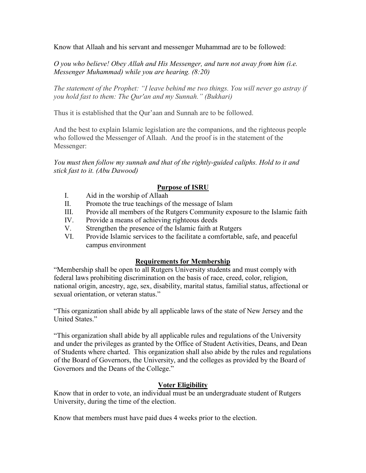Know that Allaah and his servant and messenger Muhammad are to be followed:

O you who believe! Obey Allah and His Messenger, and turn not away from him (i.e. Messenger Muhammad) while you are hearing. (8:20)

The statement of the Prophet: "I leave behind me two things. You will never go astray if you hold fast to them: The Qur'an and my Sunnah." (Bukhari)

Thus it is established that the Qur'aan and Sunnah are to be followed.

And the best to explain Islamic legislation are the companions, and the righteous people who followed the Messenger of Allaah. And the proof is in the statement of the Messenger:

You must then follow my sunnah and that of the rightly-guided caliphs. Hold to it and stick fast to it. (Abu Dawood)

# Purpose of ISRU

- I. Aid in the worship of Allaah
- II. Promote the true teachings of the message of Islam
- III. Provide all members of the Rutgers Community exposure to the Islamic faith
- IV. Provide a means of achieving righteous deeds
- V. Strengthen the presence of the Islamic faith at Rutgers
- VI. Provide Islamic services to the facilitate a comfortable, safe, and peaceful campus environment

### Requirements for Membership

"Membership shall be open to all Rutgers University students and must comply with federal laws prohibiting discrimination on the basis of race, creed, color, religion, national origin, ancestry, age, sex, disability, marital status, familial status, affectional or sexual orientation, or veteran status."

"This organization shall abide by all applicable laws of the state of New Jersey and the United States."

"This organization shall abide by all applicable rules and regulations of the University and under the privileges as granted by the Office of Student Activities, Deans, and Dean of Students where charted. This organization shall also abide by the rules and regulations of the Board of Governors, the University, and the colleges as provided by the Board of Governors and the Deans of the College."

### Voter Eligibility

Know that in order to vote, an individual must be an undergraduate student of Rutgers University, during the time of the election.

Know that members must have paid dues 4 weeks prior to the election.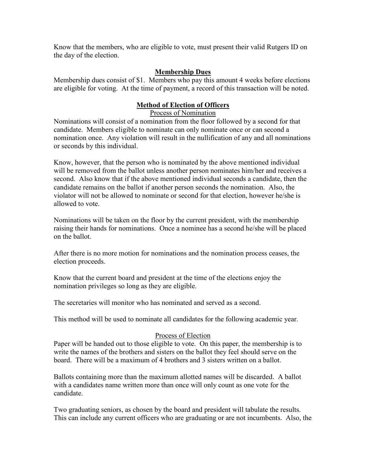Know that the members, who are eligible to vote, must present their valid Rutgers ID on the day of the election.

#### Membership Dues

Membership dues consist of \$1. Members who pay this amount 4 weeks before elections are eligible for voting. At the time of payment, a record of this transaction will be noted.

## Method of Election of Officers

Process of Nomination

Nominations will consist of a nomination from the floor followed by a second for that candidate. Members eligible to nominate can only nominate once or can second a nomination once. Any violation will result in the nullification of any and all nominations or seconds by this individual.

Know, however, that the person who is nominated by the above mentioned individual will be removed from the ballot unless another person nominates him/her and receives a second. Also know that if the above mentioned individual seconds a candidate, then the candidate remains on the ballot if another person seconds the nomination. Also, the violator will not be allowed to nominate or second for that election, however he/she is allowed to vote.

Nominations will be taken on the floor by the current president, with the membership raising their hands for nominations. Once a nominee has a second he/she will be placed on the ballot.

After there is no more motion for nominations and the nomination process ceases, the election proceeds.

Know that the current board and president at the time of the elections enjoy the nomination privileges so long as they are eligible.

The secretaries will monitor who has nominated and served as a second.

This method will be used to nominate all candidates for the following academic year.

#### Process of Election

Paper will be handed out to those eligible to vote. On this paper, the membership is to write the names of the brothers and sisters on the ballot they feel should serve on the board. There will be a maximum of 4 brothers and 3 sisters written on a ballot.

Ballots containing more than the maximum allotted names will be discarded. A ballot with a candidates name written more than once will only count as one vote for the candidate.

Two graduating seniors, as chosen by the board and president will tabulate the results. This can include any current officers who are graduating or are not incumbents. Also, the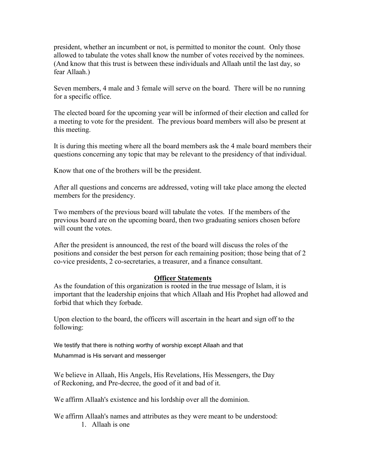president, whether an incumbent or not, is permitted to monitor the count. Only those allowed to tabulate the votes shall know the number of votes received by the nominees. (And know that this trust is between these individuals and Allaah until the last day, so fear Allaah.)

Seven members, 4 male and 3 female will serve on the board. There will be no running for a specific office.

The elected board for the upcoming year will be informed of their election and called for a meeting to vote for the president. The previous board members will also be present at this meeting.

It is during this meeting where all the board members ask the 4 male board members their questions concerning any topic that may be relevant to the presidency of that individual.

Know that one of the brothers will be the president.

After all questions and concerns are addressed, voting will take place among the elected members for the presidency.

Two members of the previous board will tabulate the votes. If the members of the previous board are on the upcoming board, then two graduating seniors chosen before will count the votes.

After the president is announced, the rest of the board will discuss the roles of the positions and consider the best person for each remaining position; those being that of 2 co-vice presidents, 2 co-secretaries, a treasurer, and a finance consultant.

### Officer Statements

As the foundation of this organization is rooted in the true message of Islam, it is important that the leadership enjoins that which Allaah and His Prophet had allowed and forbid that which they forbade.

Upon election to the board, the officers will ascertain in the heart and sign off to the following:

We testify that there is nothing worthy of worship except Allaah and that

Muhammad is His servant and messenger

We believe in Allaah, His Angels, His Revelations, His Messengers, the Day of Reckoning, and Pre-decree, the good of it and bad of it.

We affirm Allaah's existence and his lordship over all the dominion.

We affirm Allaah's names and attributes as they were meant to be understood:

1. Allaah is one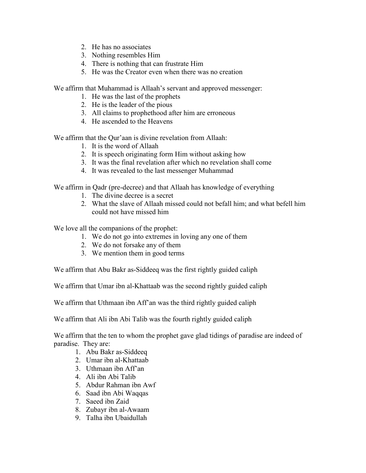- 2. He has no associates
- 3. Nothing resembles Him
- 4. There is nothing that can frustrate Him
- 5. He was the Creator even when there was no creation

We affirm that Muhammad is Allaah's servant and approved messenger:

- 1. He was the last of the prophets
- 2. He is the leader of the pious
- 3. All claims to prophethood after him are erroneous
- 4. He ascended to the Heavens

We affirm that the Qur'aan is divine revelation from Allaah:

- 1. It is the word of Allaah
- 2. It is speech originating form Him without asking how
- 3. It was the final revelation after which no revelation shall come
- 4. It was revealed to the last messenger Muhammad

We affirm in Qadr (pre-decree) and that Allaah has knowledge of everything

- 1. The divine decree is a secret
- 2. What the slave of Allaah missed could not befall him; and what befell him could not have missed him

We love all the companions of the prophet:

- 1. We do not go into extremes in loving any one of them
- 2. We do not forsake any of them
- 3. We mention them in good terms

We affirm that Abu Bakr as-Siddeeq was the first rightly guided caliph

We affirm that Umar ibn al-Khattaab was the second rightly guided caliph

We affirm that Uthmaan ibn Aff'an was the third rightly guided caliph

We affirm that Ali ibn Abi Talib was the fourth rightly guided caliph

We affirm that the ten to whom the prophet gave glad tidings of paradise are indeed of paradise. They are:

- 1. Abu Bakr as-Siddeeq
- 2. Umar ibn al-Khattaab
- 3. Uthmaan ibn Aff'an
- 4. Ali ibn Abi Talib
- 5. Abdur Rahman ibn Awf
- 6. Saad ibn Abi Waqqas
- 7. Saeed ibn Zaid
- 8. Zubayr ibn al-Awaam
- 9. Talha ibn Ubaidullah